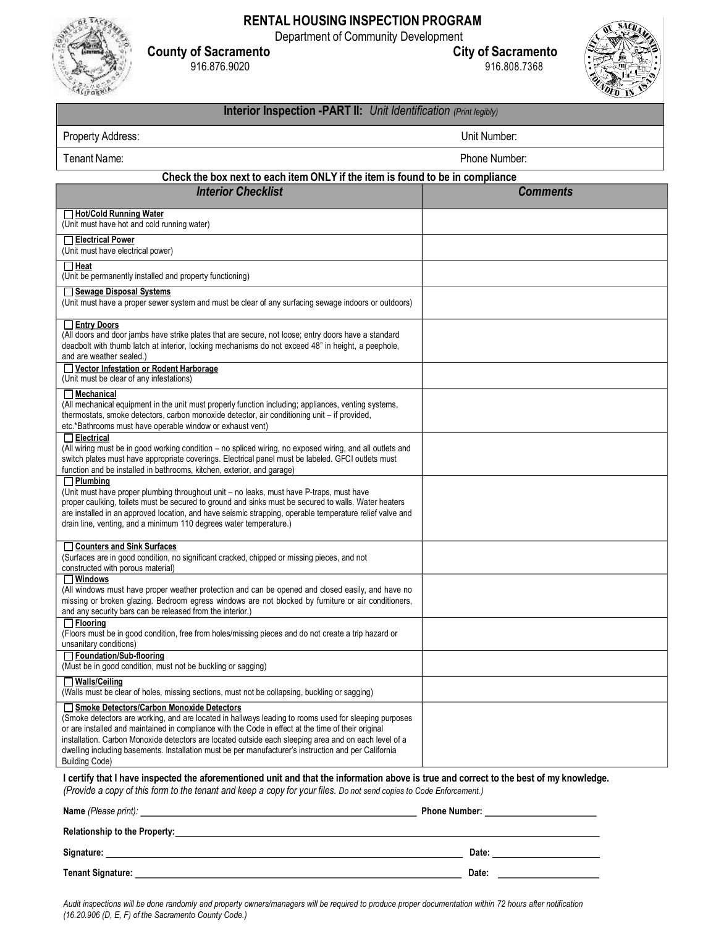

## **RENTAL HOUSING INSPECTION PROGRAM**

Department of Community Development<br>City of Sacramento

**County of Sacramento City of Sacramento** 916.876.9020 916.808.7368



## **Interior Inspection PART II:** *Unit Identification (Print legibly)*

| Property Address:                                                                                                                                                                                                                                                                                                                                                                                                                                                                                   | Unit Number:                                                                                                                                                                                                                        |  |
|-----------------------------------------------------------------------------------------------------------------------------------------------------------------------------------------------------------------------------------------------------------------------------------------------------------------------------------------------------------------------------------------------------------------------------------------------------------------------------------------------------|-------------------------------------------------------------------------------------------------------------------------------------------------------------------------------------------------------------------------------------|--|
| Tenant Name:<br>Phone Number:                                                                                                                                                                                                                                                                                                                                                                                                                                                                       |                                                                                                                                                                                                                                     |  |
| Check the box next to each item ONLY if the item is found to be in compliance                                                                                                                                                                                                                                                                                                                                                                                                                       |                                                                                                                                                                                                                                     |  |
| <b>Interior Checklist</b>                                                                                                                                                                                                                                                                                                                                                                                                                                                                           | <b>Comments</b>                                                                                                                                                                                                                     |  |
| Hot/Cold Running Water<br>(Unit must have hot and cold running water)                                                                                                                                                                                                                                                                                                                                                                                                                               |                                                                                                                                                                                                                                     |  |
| □ Electrical Power<br>(Unit must have electrical power)                                                                                                                                                                                                                                                                                                                                                                                                                                             |                                                                                                                                                                                                                                     |  |
| $\Box$ Heat<br>(Unit be permanently installed and property functioning)                                                                                                                                                                                                                                                                                                                                                                                                                             |                                                                                                                                                                                                                                     |  |
| Sewage Disposal Systems<br>(Unit must have a proper sewer system and must be clear of any surfacing sewage indoors or outdoors)                                                                                                                                                                                                                                                                                                                                                                     |                                                                                                                                                                                                                                     |  |
| Entry Doors<br>(All doors and door jambs have strike plates that are secure, not loose; entry doors have a standard<br>deadbolt with thumb latch at interior, locking mechanisms do not exceed 48" in height, a peephole,<br>and are weather sealed.)                                                                                                                                                                                                                                               |                                                                                                                                                                                                                                     |  |
| Vector Infestation or Rodent Harborage<br>(Unit must be clear of any infestations)                                                                                                                                                                                                                                                                                                                                                                                                                  |                                                                                                                                                                                                                                     |  |
| $\Box$ Mechanical<br>(All mechanical equipment in the unit must properly function including; appliances, venting systems,<br>thermostats, smoke detectors, carbon monoxide detector, air conditioning unit - if provided,<br>etc.*Bathrooms must have operable window or exhaust vent)                                                                                                                                                                                                              |                                                                                                                                                                                                                                     |  |
| $\Box$ Electrical<br>(All wiring must be in good working condition - no spliced wiring, no exposed wiring, and all outlets and<br>switch plates must have appropriate coverings. Electrical panel must be labeled. GFCI outlets must<br>function and be installed in bathrooms, kitchen, exterior, and garage)                                                                                                                                                                                      |                                                                                                                                                                                                                                     |  |
| $\Box$ Plumbing<br>(Unit must have proper plumbing throughout unit - no leaks, must have P-traps, must have<br>proper caulking, toilets must be secured to ground and sinks must be secured to walls. Water heaters<br>are installed in an approved location, and have seismic strapping, operable temperature relief valve and<br>drain line, venting, and a minimum 110 degrees water temperature.)                                                                                               |                                                                                                                                                                                                                                     |  |
| <b>Counters and Sink Surfaces</b><br>(Surfaces are in good condition, no significant cracked, chipped or missing pieces, and not<br>constructed with porous material)                                                                                                                                                                                                                                                                                                                               |                                                                                                                                                                                                                                     |  |
| $\Box$ Windows<br>(All windows must have proper weather protection and can be opened and closed easily, and have no<br>missing or broken glazing. Bedroom egress windows are not blocked by furniture or air conditioners,<br>and any security bars can be released from the interior.)                                                                                                                                                                                                             |                                                                                                                                                                                                                                     |  |
| $\Box$ Flooring<br>(Floors must be in good condition, free from holes/missing pieces and do not create a trip hazard or<br>unsanitary conditions)                                                                                                                                                                                                                                                                                                                                                   |                                                                                                                                                                                                                                     |  |
| Foundation/Sub-flooring<br>(Must be in good condition, must not be buckling or sagging)                                                                                                                                                                                                                                                                                                                                                                                                             |                                                                                                                                                                                                                                     |  |
| $\Box$ Walls/Ceiling<br>(Walls must be clear of holes, missing sections, must not be collapsing, buckling or sagging)                                                                                                                                                                                                                                                                                                                                                                               |                                                                                                                                                                                                                                     |  |
| Smoke Detectors/Carbon Monoxide Detectors<br>(Smoke detectors are working, and are located in hallways leading to rooms used for sleeping purposes<br>or are installed and maintained in compliance with the Code in effect at the time of their original<br>installation. Carbon Monoxide detectors are located outside each sleeping area and on each level of a<br>dwelling including basements. Installation must be per manufacturer's instruction and per California<br><b>Building Code)</b> |                                                                                                                                                                                                                                     |  |
| I certify that I have inspected the aforementioned unit and that the information above is true and correct to the best of my knowledge.<br>(Provide a copy of this form to the tenant and keep a copy for your files. Do not send copies to Code Enforcement.)                                                                                                                                                                                                                                      |                                                                                                                                                                                                                                     |  |
| Name (Please print): _<br><u> 1980 - Johann Barbara, martin amerikan basar dan berasal dalam basar dalam basar dalam basar dalam basar dala</u>                                                                                                                                                                                                                                                                                                                                                     | <b>Phone Number:</b> The contract of the contract of the contract of the contract of the contract of the contract of the contract of the contract of the contract of the contract of the contract of the contract of the contract o |  |
| Relationship to the Property:                                                                                                                                                                                                                                                                                                                                                                                                                                                                       |                                                                                                                                                                                                                                     |  |

**Signature: Date: Tenant Signature: Date:**

Audit inspections will be done randomly and property owners/managers will be required to produce proper documentation within 72 hours after notification *(16.20.906 (D, E, F) of the Sacramento County Code.)*